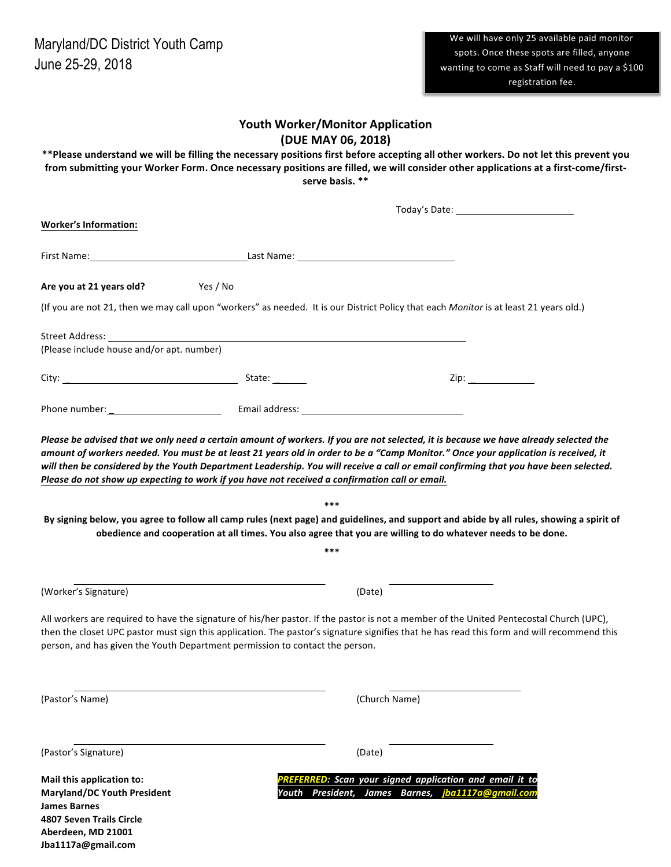| <b>Youth Worker/Monitor Application</b><br>(DUE MAY 06, 2018)<br>**Please understand we will be filling the necessary positions first before accepting all other workers. Do not let this prevent you<br>from submitting your Worker Form. Once necessary positions are filled, we will consider other applications at a first-come/first-<br>serve basis. **                      |            |                                                                                                              |  |
|------------------------------------------------------------------------------------------------------------------------------------------------------------------------------------------------------------------------------------------------------------------------------------------------------------------------------------------------------------------------------------|------------|--------------------------------------------------------------------------------------------------------------|--|
| Today's Date: 1997                                                                                                                                                                                                                                                                                                                                                                 |            |                                                                                                              |  |
| <b>Worker's Information:</b>                                                                                                                                                                                                                                                                                                                                                       |            |                                                                                                              |  |
|                                                                                                                                                                                                                                                                                                                                                                                    |            |                                                                                                              |  |
| Yes / No<br>Are you at 21 years old?                                                                                                                                                                                                                                                                                                                                               |            |                                                                                                              |  |
| (If you are not 21, then we may call upon "workers" as needed. It is our District Policy that each Monitor is at least 21 years old.)                                                                                                                                                                                                                                              |            |                                                                                                              |  |
| Street Address: with a street of the street of the street and the street of the street and the street of the street of the street of the street of the street of the street of the street of the street of the street of the s<br>(Please include house and/or apt. number)                                                                                                        |            |                                                                                                              |  |
|                                                                                                                                                                                                                                                                                                                                                                                    |            | Zip: $\qquad \qquad$                                                                                         |  |
|                                                                                                                                                                                                                                                                                                                                                                                    |            |                                                                                                              |  |
| will then be considered by the Youth Department Leadership. You will receive a call or email confirming that you have been selected.<br>Please do not show up expecting to work if you have not received a confirmation call or email.<br>By signing below, you agree to follow all camp rules (next page) and guidelines, and support and abide by all rules, showing a spirit of | ***<br>*** | obedience and cooperation at all times. You also agree that you are willing to do whatever needs to be done. |  |
| (Worker's Signature)                                                                                                                                                                                                                                                                                                                                                               |            | (Date)                                                                                                       |  |
| All workers are required to have the signature of his/her pastor. If the pastor is not a member of the United Pentecostal Church (UPC),<br>then the closet UPC pastor must sign this application. The pastor's signature signifies that he has read this form and will recommend this<br>person, and has given the Youth Department permission to contact the person.              |            |                                                                                                              |  |
| (Pastor's Name)                                                                                                                                                                                                                                                                                                                                                                    |            | (Church Name)                                                                                                |  |
| (Pastor's Signature)                                                                                                                                                                                                                                                                                                                                                               |            | (Date)                                                                                                       |  |
| Mail this application to:<br><b>Maryland/DC Youth President</b><br><b>James Barnes</b><br><b>4807 Seven Trails Circle</b><br>Aberdeen, MD 21001<br>Jba1117a@gmail.com                                                                                                                                                                                                              |            | PREFERRED: Scan your signed application and email it to<br>Youth President, James Barnes, jba1117a@gmail.com |  |